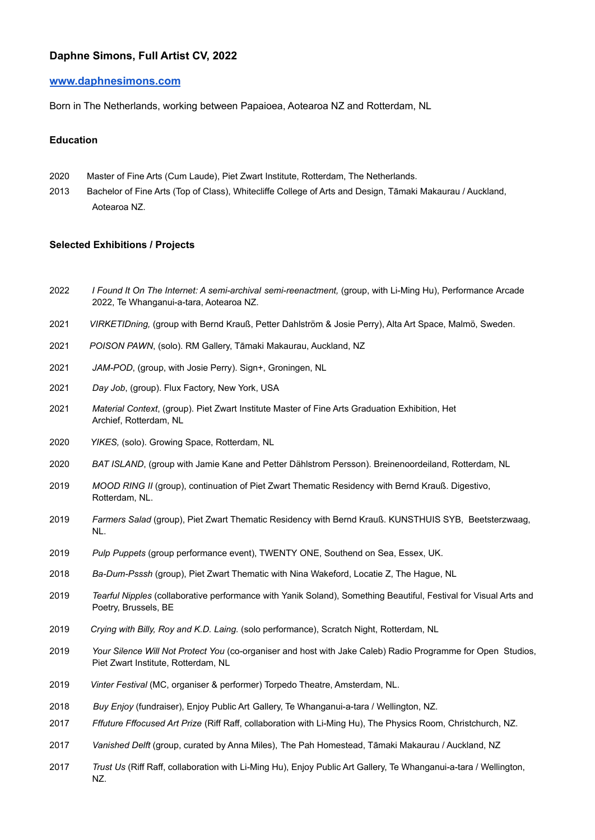# **Daphne Simons, Full Artist CV, 2022**

## **[www.daphnesimons.com](http://www.daphnesimons.com)**

Born in The Netherlands, working between Papaioea, Aotearoa NZ and Rotterdam, NL

### **Education**

- 2020 Master of Fine Arts (Cum Laude), Piet Zwart Institute, Rotterdam, The Netherlands.
- 2013 Bachelor of Fine Arts (Top of Class), Whitecliffe College of Arts and Design, Tāmaki Makaurau / Auckland, Aotearoa NZ.

### **Selected Exhibitions / Projects**

- 2022 *I Found It On The Internet: A semi-archival semi-reenactment,* (group, with Li-Ming Hu), Performance Arcade 2022, Te Whanganui-a-tara, Aotearoa NZ.
- 2021 *[VIRKETIDning](https://www.daphnesimons.com/alta-pett-bernd-josie),* (group with Bernd Krauß, Petter Dahlström & Josie Perry), Alta Art Space, Malmö, Sweden.
- 2021 *POISON PAWN*, (solo). RM Gallery, Tāmaki Makaurau, Auckland, NZ
- 2021 *JAM-POD*, (group, with Josie Perry). Sign+, Groningen, NL
- 2021 *Day Job*, (group). Flux Factory, New York, USA
- 2021 *Material Context*, (group). Piet Zwart Institute Master of Fine Arts Graduation Exhibition, Het Archief, Rotterdam, NL
- 2020 *YIKES,* (solo). Growing Space, Rotterdam, NL
- 2020 *BAT ISLAND*, (group with Jamie Kane and Petter Dählstrom Persson). Breinenoordeiland, Rotterdam, NL
- 2019 *MOOD RING II* (group), continuation of Piet Zwart Thematic Residency with Bernd Krauß. Digestivo, Rotterdam, NL.
- 2019 *Farmers Salad* (group), Piet Zwart Thematic Residency with Bernd Krauß. KUNSTHUIS SYB, Beetsterzwaag, NL.
- 2019 *Pulp Puppets* (group performance event), TWENTY ONE, Southend on Sea, Essex, UK.
- 2018 *Ba-Dum-Psssh* (group), Piet Zwart Thematic with Nina Wakeford, Locatie Z, The Hague, NL
- 2019 *Tearful Nipples* (collaborative performance with Yanik Soland), Something Beautiful, Festival for Visual Arts and Poetry, Brussels, BE
- 2019 *Crying with Billy, Roy and K.D. Laing.* (solo performance), Scratch Night, Rotterdam, NL
- 2019 *Your Silence Will Not Protect You* (co-organiser and host with Jake Caleb) Radio Programme for Open Studios, Piet Zwart Institute, Rotterdam, NL
- 2019 *Vinter Festival* (MC, organiser & performer) Torpedo Theatre, Amsterdam, NL.
- 2018 *Buy Enjoy* (fundraiser), Enjoy Public Art Gallery, Te Whanganui-a-tara / Wellington, NZ.
- 2017 *Fffuture Fffocused Art Prize* (Riff Raff, collaboration with Li-Ming Hu), The Physics Room, Christchurch, NZ.
- 2017 *Vanished Delft* (group, curated by Anna Miles), The Pah Homestead, Tāmaki Makaurau / Auckland, NZ
- 2017 *Trust Us* (Riff Raff, collaboration with Li-Ming Hu), Enjoy Public Art Gallery, Te Whanganui-a-tara / Wellington, NZ.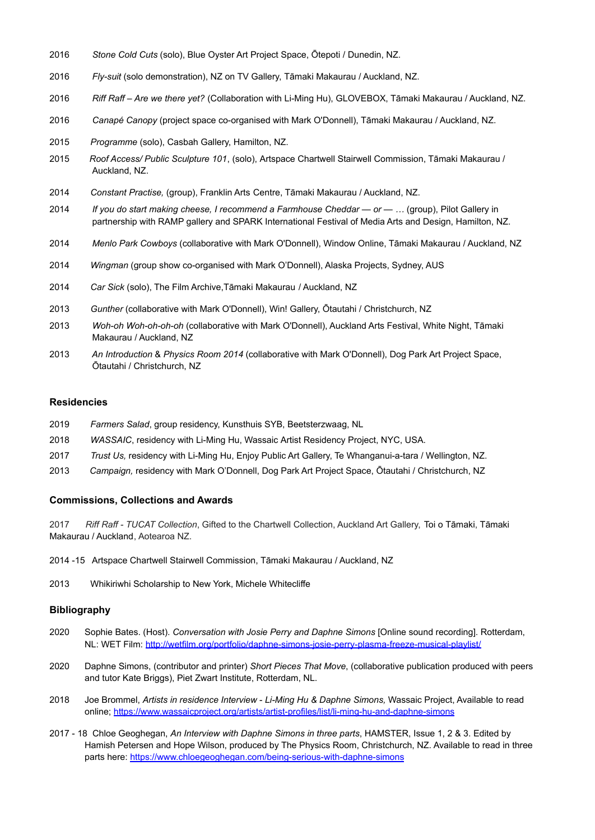- *Stone Cold Cuts* (solo), Blue Oyster Art Project Space, Ōtepoti / Dunedin, NZ.
- *Fly-suit* (solo demonstration), NZ on TV Gallery, Tāmaki Makaurau / Auckland, NZ.
- *Riff Raff Are we there yet?* (Collaboration with Li-Ming Hu), GLOVEBOX, Tāmaki Makaurau / Auckland, NZ.
- *Canapé Canopy* (project space co-organised with Mark O'Donnell), Tāmaki Makaurau / Auckland, NZ.
- *Programme* (solo), Casbah Gallery, Hamilton, NZ.
- *Roof Access/ Public Sculpture 101*, (solo), Artspace Chartwell Stairwell Commission, Tāmaki Makaurau / Auckland, NZ.
- *Constant Practise,* (group), Franklin Arts Centre, Tāmaki Makaurau / Auckland, NZ.
- *If you do start making cheese, I recommend a Farmhouse Cheddar or …* (group), Pilot Gallery in partnership with RAMP gallery and SPARK International Festival of Media Arts and Design, Hamilton, NZ.
- *Menlo Park Cowboys* (collaborative with Mark O'Donnell), Window Online, Tāmaki Makaurau / Auckland, NZ
- *Wingman* (group show co-organised with Mark O'Donnell), Alaska Projects, Sydney, AUS
- *Car Sick* (solo), The Film Archive,Tāmaki Makaurau / Auckland, NZ
- *Gunther* (collaborative with Mark O'Donnell), Win! Gallery, Ōtautahi / Christchurch, NZ
- *Woh-oh Woh-oh-oh-oh* (collaborative with Mark O'Donnell), Auckland Arts Festival, White Night, Tāmaki Makaurau / Auckland, NZ
- *An Introduction* & *Physics Room 2014* (collaborative with Mark O'Donnell), Dog Park Art Project Space, Ōtautahi / Christchurch, NZ

#### **Residencies**

- *Farmers Salad*, group residency, Kunsthuis SYB, Beetsterzwaag, NL
- *WASSAIC*, residency with Li-Ming Hu, Wassaic Artist Residency Project, NYC, USA.
- *Trust Us,* residency with Li-Ming Hu, Enjoy Public Art Gallery, Te Whanganui-a-tara / Wellington, NZ.
- *Campaign,* residency with Mark O'Donnell, Dog Park Art Project Space, Ōtautahi / Christchurch, NZ

#### **Commissions, Collections and Awards**

 *Riff Raff - TUCAT Collection*, Gifted to the Chartwell Collection, Auckland Art Gallery, Toi o Tāmaki, Tāmaki Makaurau / Auckland, Aotearoa NZ.

- 2014 -15 Artspace Chartwell Stairwell Commission, Tāmaki Makaurau / Auckland, NZ
- Whikiriwhi Scholarship to New York, Michele Whitecliffe

### **Bibliography**

- Sophie Bates. (Host). *Conversation with Josie Perry and Daphne Simons* [Online sound recording]. Rotterdam, NL: WET Film: <http://wetfilm.org/portfolio/daphne-simons-josie-perry-plasma-freeze-musical-playlist/>
- Daphne Simons, (contributor and printer) *Short Pieces That Move*, (collaborative publication produced with peers and tutor Kate Briggs), Piet Zwart Institute, Rotterdam, NL.
- Joe Brommel, *Artists in residence Interview Li-Ming Hu & Daphne Simons,* Wassaic Project, Available to read online; <https://www.wassaicproject.org/artists/artist-profiles/list/li-ming-hu-and-daphne-simons>
- 2017 18 Chloe Geoghegan, *An Interview with Daphne Simons in three parts*, HAMSTER, Issue 1, 2 & 3. Edited by Hamish Petersen and Hope Wilson, produced by The Physics Room, Christchurch, NZ. Available to read in three parts here: <https://www.chloegeoghegan.com/being-serious-with-daphne-simons>